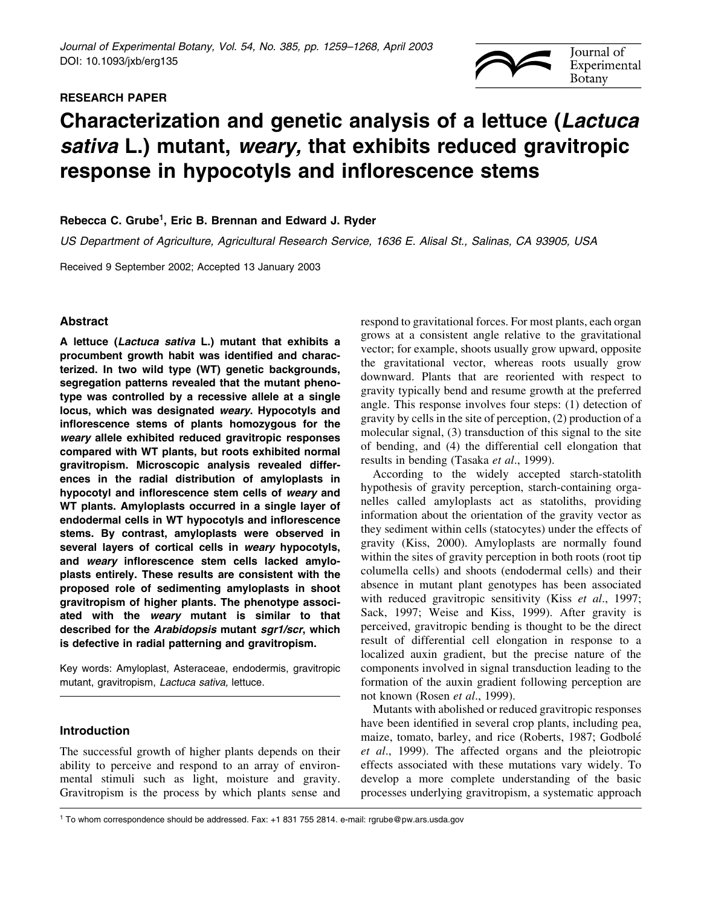# RESEARCH PAPER



# Characterization and genetic analysis of a lettuce (Lactuca sativa L.) mutant, weary, that exhibits reduced gravitropic response in hypocotyls and inflorescence stems

# Rebecca C. Grube<sup>1</sup>, Eric B. Brennan and Edward J. Ryder

US Department of Agriculture, Agricultural Research Service, 1636 E. Alisal St., Salinas, CA 93905, USA

Received 9 September 2002; Accepted 13 January 2003

# Abstract

A lettuce (Lactuca sativa L.) mutant that exhibits a procumbent growth habit was identified and characterized. In two wild type (WT) genetic backgrounds, segregation patterns revealed that the mutant phenotype was controlled by a recessive allele at a single locus, which was designated weary. Hypocotyls and inflorescence stems of plants homozygous for the weary allele exhibited reduced gravitropic responses compared with WT plants, but roots exhibited normal gravitropism. Microscopic analysis revealed differences in the radial distribution of amyloplasts in hypocotyl and inflorescence stem cells of weary and WT plants. Amyloplasts occurred in a single layer of endodermal cells in WT hypocotyls and inflorescence stems. By contrast, amyloplasts were observed in several layers of cortical cells in weary hypocotyls, and weary inflorescence stem cells lacked amyloplasts entirely. These results are consistent with the proposed role of sedimenting amyloplasts in shoot gravitropism of higher plants. The phenotype associated with the weary mutant is similar to that described for the Arabidopsis mutant sgr1/scr, which is defective in radial patterning and gravitropism.

Key words: Amyloplast, Asteraceae, endodermis, gravitropic mutant, gravitropism, Lactuca sativa, lettuce.

# Introduction

The successful growth of higher plants depends on their ability to perceive and respond to an array of environmental stimuli such as light, moisture and gravity. Gravitropism is the process by which plants sense and

respond to gravitational forces. For most plants, each organ grows at a consistent angle relative to the gravitational vector; for example, shoots usually grow upward, opposite the gravitational vector, whereas roots usually grow downward. Plants that are reoriented with respect to gravity typically bend and resume growth at the preferred angle. This response involves four steps: (1) detection of gravity by cells in the site of perception, (2) production of a molecular signal, (3) transduction of this signal to the site of bending, and (4) the differential cell elongation that results in bending (Tasaka et al., 1999).

According to the widely accepted starch-statolith hypothesis of gravity perception, starch-containing organelles called amyloplasts act as statoliths, providing information about the orientation of the gravity vector as they sediment within cells (statocytes) under the effects of gravity (Kiss, 2000). Amyloplasts are normally found within the sites of gravity perception in both roots (root tip columella cells) and shoots (endodermal cells) and their absence in mutant plant genotypes has been associated with reduced gravitropic sensitivity (Kiss et al., 1997; Sack, 1997; Weise and Kiss, 1999). After gravity is perceived, gravitropic bending is thought to be the direct result of differential cell elongation in response to a localized auxin gradient, but the precise nature of the components involved in signal transduction leading to the formation of the auxin gradient following perception are not known (Rosen et al., 1999).

Mutants with abolished or reduced gravitropic responses have been identified in several crop plants, including pea, maize, tomato, barley, and rice (Roberts, 1987; Godbolé et al., 1999). The affected organs and the pleiotropic effects associated with these mutations vary widely. To develop a more complete understanding of the basic processes underlying gravitropism, a systematic approach

<sup>1</sup> To whom correspondence should be addressed. Fax: +1 831 755 2814. e-mail: rgrube@pw.ars.usda.gov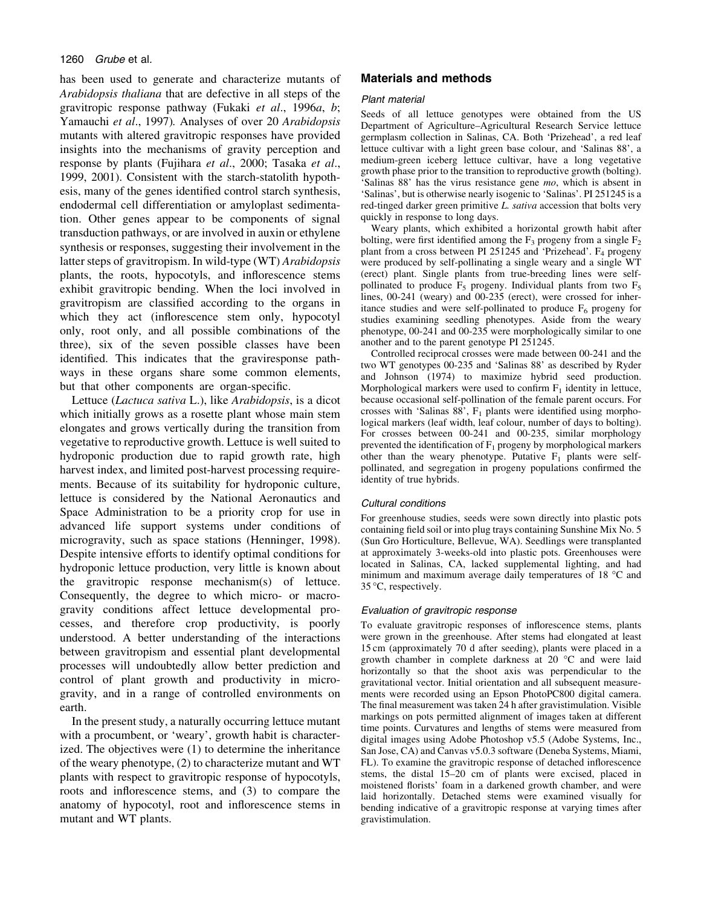## 1260 Grube et al.

has been used to generate and characterize mutants of Arabidopsis thaliana that are defective in all steps of the gravitropic response pathway (Fukaki et al., 1996a, b; Yamauchi et al., 1997). Analyses of over 20 Arabidopsis mutants with altered gravitropic responses have provided insights into the mechanisms of gravity perception and response by plants (Fujihara et al., 2000; Tasaka et al., 1999, 2001). Consistent with the starch-statolith hypothesis, many of the genes identified control starch synthesis, endodermal cell differentiation or amyloplast sedimentation. Other genes appear to be components of signal transduction pathways, or are involved in auxin or ethylene synthesis or responses, suggesting their involvement in the latter steps of gravitropism. In wild-type (WT) Arabidopsis plants, the roots, hypocotyls, and inflorescence stems exhibit gravitropic bending. When the loci involved in gravitropism are classified according to the organs in which they act (inflorescence stem only, hypocotyl only, root only, and all possible combinations of the three), six of the seven possible classes have been identified. This indicates that the graviresponse pathways in these organs share some common elements, but that other components are organ-specific.

Lettuce (Lactuca sativa L.), like Arabidopsis, is a dicot which initially grows as a rosette plant whose main stem elongates and grows vertically during the transition from vegetative to reproductive growth. Lettuce is well suited to hydroponic production due to rapid growth rate, high harvest index, and limited post-harvest processing requirements. Because of its suitability for hydroponic culture, lettuce is considered by the National Aeronautics and Space Administration to be a priority crop for use in advanced life support systems under conditions of microgravity, such as space stations (Henninger, 1998). Despite intensive efforts to identify optimal conditions for hydroponic lettuce production, very little is known about the gravitropic response mechanism(s) of lettuce. Consequently, the degree to which micro- or macrogravity conditions affect lettuce developmental processes, and therefore crop productivity, is poorly understood. A better understanding of the interactions between gravitropism and essential plant developmental processes will undoubtedly allow better prediction and control of plant growth and productivity in microgravity, and in a range of controlled environments on earth.

In the present study, a naturally occurring lettuce mutant with a procumbent, or 'weary', growth habit is characterized. The objectives were (1) to determine the inheritance of the weary phenotype, (2) to characterize mutant and WT plants with respect to gravitropic response of hypocotyls, roots and inflorescence stems, and (3) to compare the anatomy of hypocotyl, root and inflorescence stems in mutant and WT plants.

# Materials and methods

## Plant material

Seeds of all lettuce genotypes were obtained from the US Department of Agriculture-Agricultural Research Service lettuce germplasm collection in Salinas, CA. Both `Prizehead', a red leaf lettuce cultivar with a light green base colour, and 'Salinas 88', a medium-green iceberg lettuce cultivar, have a long vegetative growth phase prior to the transition to reproductive growth (bolting). 'Salinas 88' has the virus resistance gene mo, which is absent in `Salinas', but is otherwise nearly isogenic to `Salinas'. PI 251245 is a red-tinged darker green primitive L. sativa accession that bolts very quickly in response to long days.

Weary plants, which exhibited a horizontal growth habit after bolting, were first identified among the  $F_3$  progeny from a single  $F_2$ plant from a cross between PI 251245 and 'Prizehead'.  $F_4$  progeny were produced by self-pollinating a single weary and a single WT (erect) plant. Single plants from true-breeding lines were selfpollinated to produce  $F_5$  progeny. Individual plants from two  $F_5$ lines, 00-241 (weary) and 00-235 (erect), were crossed for inheritance studies and were self-pollinated to produce  $F_6$  progeny for studies examining seedling phenotypes. Aside from the weary phenotype, 00-241 and 00-235 were morphologically similar to one another and to the parent genotype PI 251245.

Controlled reciprocal crosses were made between 00-241 and the two WT genotypes 00-235 and 'Salinas 88' as described by Ryder and Johnson (1974) to maximize hybrid seed production. Morphological markers were used to confirm  $F_1$  identity in lettuce, because occasional self-pollination of the female parent occurs. For crosses with 'Salinas 88',  $F_1$  plants were identified using morphological markers (leaf width, leaf colour, number of days to bolting). For crosses between 00-241 and 00-235, similar morphology prevented the identification of  $F_1$  progeny by morphological markers other than the weary phenotype. Putative  $F_1$  plants were selfpollinated, and segregation in progeny populations confirmed the identity of true hybrids.

## Cultural conditions

For greenhouse studies, seeds were sown directly into plastic pots containing field soil or into plug trays containing Sunshine Mix No. 5 (Sun Gro Horticulture, Bellevue, WA). Seedlings were transplanted at approximately 3-weeks-old into plastic pots. Greenhouses were located in Salinas, CA, lacked supplemental lighting, and had minimum and maximum average daily temperatures of 18 °C and 35 °C, respectively.

## Evaluation of gravitropic response

To evaluate gravitropic responses of inflorescence stems, plants were grown in the greenhouse. After stems had elongated at least 15 cm (approximately 70 d after seeding), plants were placed in a growth chamber in complete darkness at 20 °C and were laid horizontally so that the shoot axis was perpendicular to the gravitational vector. Initial orientation and all subsequent measurements were recorded using an Epson PhotoPC800 digital camera. The final measurement was taken 24 h after gravistimulation. Visible markings on pots permitted alignment of images taken at different time points. Curvatures and lengths of stems were measured from digital images using Adobe Photoshop v5.5 (Adobe Systems, Inc., San Jose, CA) and Canvas v5.0.3 software (Deneba Systems, Miami, FL). To examine the gravitropic response of detached inflorescence stems, the distal 15–20 cm of plants were excised, placed in moistened florists' foam in a darkened growth chamber, and were laid horizontally. Detached stems were examined visually for bending indicative of a gravitropic response at varying times after gravistimulation.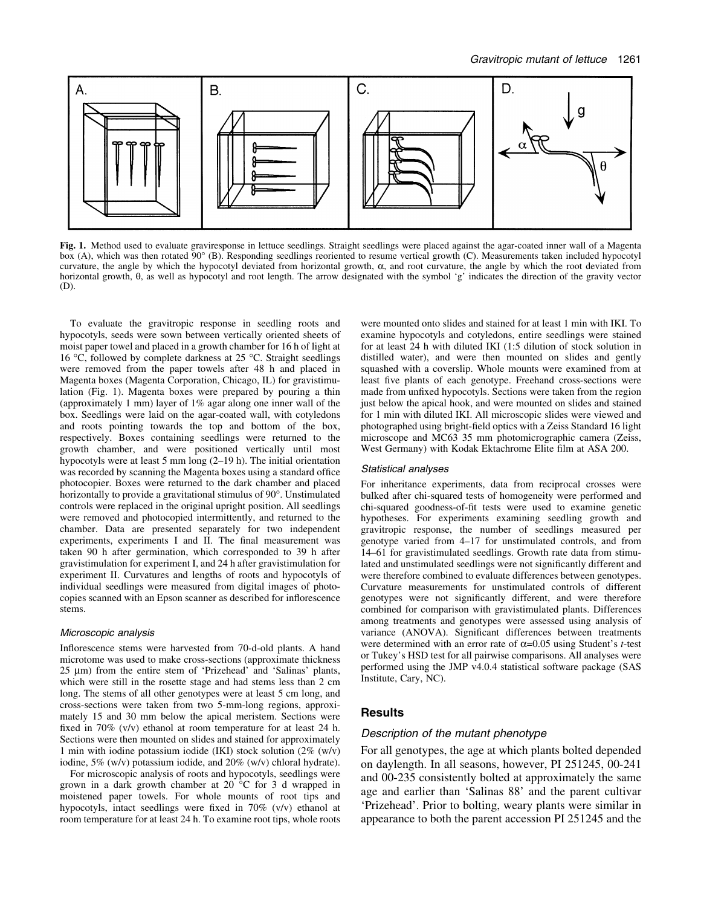

Fig. 1. Method used to evaluate graviresponse in lettuce seedlings. Straight seedlings were placed against the agar-coated inner wall of a Magenta box (A), which was then rotated 90° (B). Responding seedlings reoriented to resume vertical growth (C). Measurements taken included hypocotyl curvature, the angle by which the hypocotyl deviated from horizontal growth,  $\alpha$ , and root curvature, the angle by which the root deviated from horizontal growth, q, as well as hypocotyl and root length. The arrow designated with the symbol `g' indicates the direction of the gravity vector (D).

To evaluate the gravitropic response in seedling roots and hypocotyls, seeds were sown between vertically oriented sheets of moist paper towel and placed in a growth chamber for 16 h of light at 16 °C, followed by complete darkness at 25 °C. Straight seedlings were removed from the paper towels after 48 h and placed in Magenta boxes (Magenta Corporation, Chicago, IL) for gravistimulation (Fig. 1). Magenta boxes were prepared by pouring a thin (approximately 1 mm) layer of 1% agar along one inner wall of the box. Seedlings were laid on the agar-coated wall, with cotyledons and roots pointing towards the top and bottom of the box, respectively. Boxes containing seedlings were returned to the growth chamber, and were positioned vertically until most hypocotyls were at least 5 mm long  $(2-19 h)$ . The initial orientation was recorded by scanning the Magenta boxes using a standard office photocopier. Boxes were returned to the dark chamber and placed horizontally to provide a gravitational stimulus of 90°. Unstimulated controls were replaced in the original upright position. All seedlings were removed and photocopied intermittently, and returned to the chamber. Data are presented separately for two independent experiments, experiments I and II. The final measurement was taken 90 h after germination, which corresponded to 39 h after gravistimulation for experiment I, and 24 h after gravistimulation for experiment II. Curvatures and lengths of roots and hypocotyls of individual seedlings were measured from digital images of photocopies scanned with an Epson scanner as described for inflorescence stems.

#### Microscopic analysis

Inflorescence stems were harvested from 70-d-old plants. A hand microtome was used to make cross-sections (approximate thickness  $25 \mu m$ ) from the entire stem of 'Prizehead' and 'Salinas' plants, which were still in the rosette stage and had stems less than 2 cm long. The stems of all other genotypes were at least 5 cm long, and cross-sections were taken from two 5-mm-long regions, approximately 15 and 30 mm below the apical meristem. Sections were fixed in 70% (v/v) ethanol at room temperature for at least 24 h. Sections were then mounted on slides and stained for approximately 1 min with iodine potassium iodide (IKI) stock solution (2% (w/v) iodine, 5% (w/v) potassium iodide, and 20% (w/v) chloral hydrate).

For microscopic analysis of roots and hypocotyls, seedlings were grown in a dark growth chamber at 20 °C for 3 d wrapped in moistened paper towels. For whole mounts of root tips and hypocotyls, intact seedlings were fixed in  $70\%$  (v/v) ethanol at room temperature for at least 24 h. To examine root tips, whole roots

were mounted onto slides and stained for at least 1 min with IKI. To examine hypocotyls and cotyledons, entire seedlings were stained for at least 24 h with diluted IKI (1:5 dilution of stock solution in distilled water), and were then mounted on slides and gently squashed with a coverslip. Whole mounts were examined from at least five plants of each genotype. Freehand cross-sections were made from unfixed hypocotyls. Sections were taken from the region just below the apical hook, and were mounted on slides and stained for 1 min with diluted IKI. All microscopic slides were viewed and photographed using bright-field optics with a Zeiss Standard 16 light microscope and MC63 35 mm photomicrographic camera (Zeiss, West Germany) with Kodak Ektachrome Elite film at ASA 200.

#### Statistical analyses

For inheritance experiments, data from reciprocal crosses were bulked after chi-squared tests of homogeneity were performed and chi-squared goodness-of-fit tests were used to examine genetic hypotheses. For experiments examining seedling growth and gravitropic response, the number of seedlings measured per genotype varied from 4-17 for unstimulated controls, and from 14-61 for gravistimulated seedlings. Growth rate data from stimulated and unstimulated seedlings were not significantly different and were therefore combined to evaluate differences between genotypes. Curvature measurements for unstimulated controls of different genotypes were not significantly different, and were therefore combined for comparison with gravistimulated plants. Differences among treatments and genotypes were assessed using analysis of variance (ANOVA). Significant differences between treatments were determined with an error rate of  $\alpha$ =0.05 using Student's *t*-test or Tukey's HSD test for all pairwise comparisons. All analyses were performed using the JMP v4.0.4 statistical software package (SAS Institute, Cary, NC).

## **Results**

## Description of the mutant phenotype

For all genotypes, the age at which plants bolted depended on daylength. In all seasons, however, PI 251245, 00-241 and 00-235 consistently bolted at approximately the same age and earlier than `Salinas 88' and the parent cultivar `Prizehead'. Prior to bolting, weary plants were similar in appearance to both the parent accession PI 251245 and the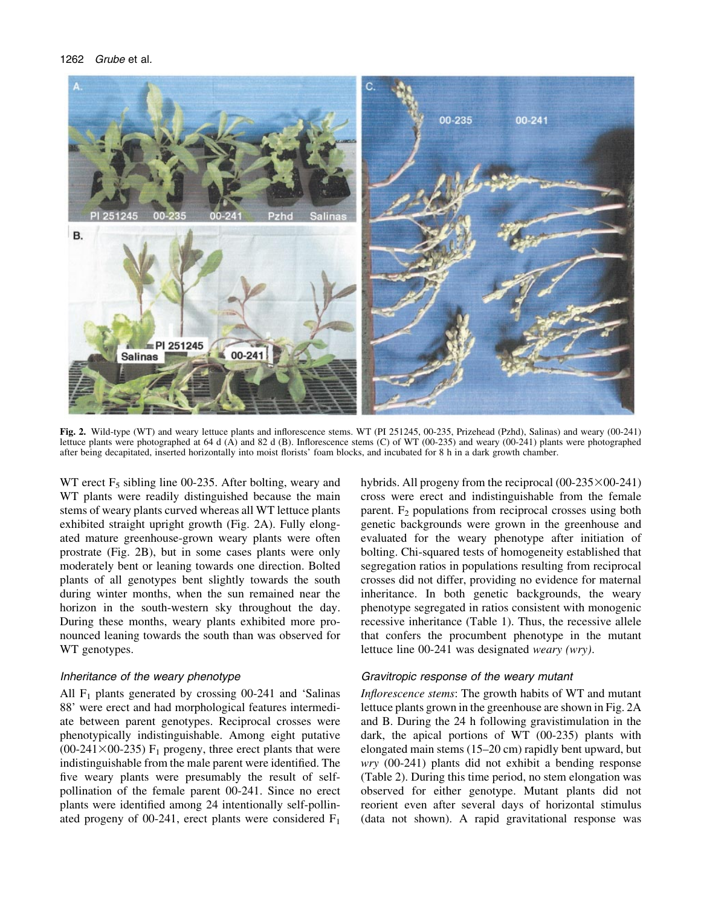

Fig. 2. Wild-type (WT) and weary lettuce plants and inflorescence stems. WT (PI 251245, 00-235, Prizehead (Pzhd), Salinas) and weary (00-241) lettuce plants were photographed at 64 d (A) and 82 d (B). Inflorescence stems (C) of WT (00-235) and weary (00-241) plants were photographed after being decapitated, inserted horizontally into moist florists' foam blocks, and incubated for 8 h in a dark growth chamber.

WT erect  $F_5$  sibling line 00-235. After bolting, weary and WT plants were readily distinguished because the main stems of weary plants curved whereas all WT lettuce plants exhibited straight upright growth (Fig. 2A). Fully elongated mature greenhouse-grown weary plants were often prostrate (Fig. 2B), but in some cases plants were only moderately bent or leaning towards one direction. Bolted plants of all genotypes bent slightly towards the south during winter months, when the sun remained near the horizon in the south-western sky throughout the day. During these months, weary plants exhibited more pronounced leaning towards the south than was observed for WT genotypes.

# Inheritance of the weary phenotype

All  $F_1$  plants generated by crossing 00-241 and 'Salinas 88' were erect and had morphological features intermediate between parent genotypes. Reciprocal crosses were phenotypically indistinguishable. Among eight putative (00-241 $\times$ 00-235) F<sub>1</sub> progeny, three erect plants that were indistinguishable from the male parent were identified. The five weary plants were presumably the result of selfpollination of the female parent 00-241. Since no erect plants were identified among 24 intentionally self-pollinated progeny of 00-241, erect plants were considered  $F_1$ 

hybrids. All progeny from the reciprocal  $(00-235\times00-241)$ cross were erect and indistinguishable from the female parent.  $F_2$  populations from reciprocal crosses using both genetic backgrounds were grown in the greenhouse and evaluated for the weary phenotype after initiation of bolting. Chi-squared tests of homogeneity established that segregation ratios in populations resulting from reciprocal crosses did not differ, providing no evidence for maternal inheritance. In both genetic backgrounds, the weary phenotype segregated in ratios consistent with monogenic recessive inheritance (Table 1). Thus, the recessive allele that confers the procumbent phenotype in the mutant lettuce line 00-241 was designated weary (wry).

## Gravitropic response of the weary mutant

Inflorescence stems: The growth habits of WT and mutant lettuce plants grown in the greenhouse are shown in Fig. 2A and B. During the 24 h following gravistimulation in the dark, the apical portions of WT (00-235) plants with elongated main stems  $(15-20 \text{ cm})$  rapidly bent upward, but wry (00-241) plants did not exhibit a bending response (Table 2). During this time period, no stem elongation was observed for either genotype. Mutant plants did not reorient even after several days of horizontal stimulus (data not shown). A rapid gravitational response was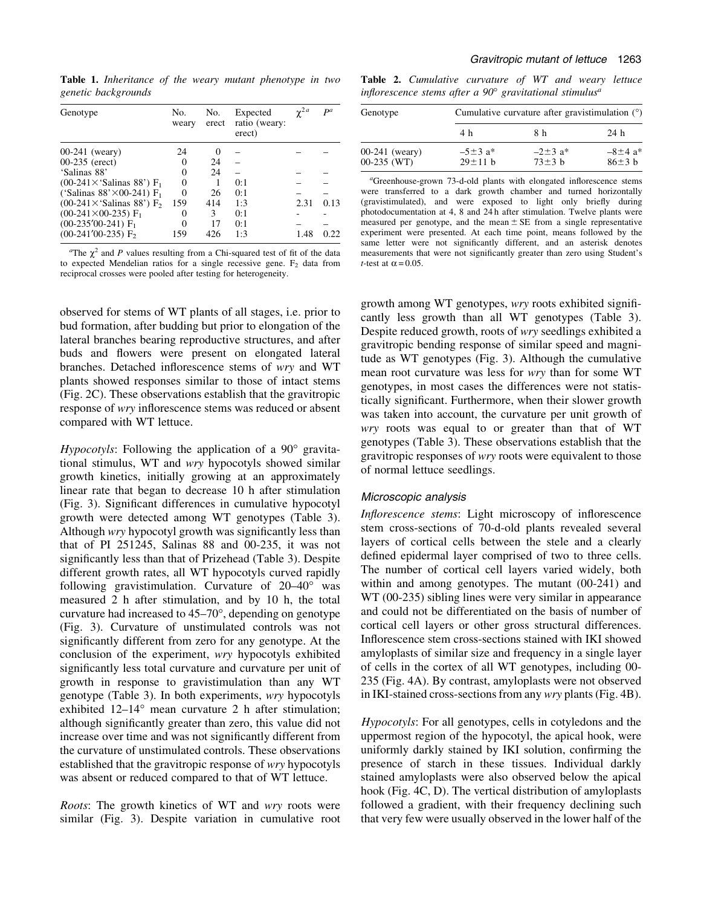Table 1. Inheritance of the weary mutant phenotype in two genetic backgrounds

| Genotype                                      | No.<br>weary | No.<br>erect | Expected<br>ratio (weary:<br>erect) | $\gamma^{2a}$ | $\mathbf{p}$ a |
|-----------------------------------------------|--------------|--------------|-------------------------------------|---------------|----------------|
| $00-241$ (weary)                              | 24           | $\theta$     |                                     |               |                |
| $00-235$ (erect)                              | 0            | 24           |                                     |               |                |
| 'Salinas 88'                                  |              | 24           |                                     |               |                |
| $(00-241\times$ 'Salinas 88') F <sub>1</sub>  |              |              | 0:1                                 |               |                |
| ('Salinas 88' $\times$ 00-241) F <sub>1</sub> | 0            | 26           | 0:1                                 |               |                |
| (00-241 $\times$ 'Salinas 88') F <sub>2</sub> | 159          | 414          | 1:3                                 | 2.31          | 0.13           |
| $(00-241\times 00-235)$ F <sub>1</sub>        |              | 3            | 0:1                                 |               |                |
| $(00-235'00-241)$ F <sub>1</sub>              | 0            | 17           | 0:1                                 |               |                |
| $(00-241'00-235)$ F <sub>2</sub>              | 159          | 426          | 1:3                                 | 1.48          | 0.22.          |

<sup>a</sup>The  $\chi^2$  and P values resulting from a Chi-squared test of fit of the data to expected Mendelian ratios for a single recessive gene.  $F<sub>2</sub>$  data from reciprocal crosses were pooled after testing for heterogeneity.

observed for stems of WT plants of all stages, i.e. prior to bud formation, after budding but prior to elongation of the lateral branches bearing reproductive structures, and after buds and flowers were present on elongated lateral branches. Detached inflorescence stems of wry and WT plants showed responses similar to those of intact stems (Fig. 2C). These observations establish that the gravitropic response of wry inflorescence stems was reduced or absent compared with WT lettuce.

Hypocotyls: Following the application of a 90° gravitational stimulus, WT and wry hypocotyls showed similar growth kinetics, initially growing at an approximately linear rate that began to decrease 10 h after stimulation (Fig. 3). Significant differences in cumulative hypocotyl growth were detected among WT genotypes (Table 3). Although *wry* hypocotyl growth was significantly less than that of PI 251245, Salinas 88 and 00-235, it was not significantly less than that of Prizehead (Table 3). Despite different growth rates, all WT hypocotyls curved rapidly following gravistimulation. Curvature of  $20-40^{\circ}$  was measured 2 h after stimulation, and by 10 h, the total curvature had increased to  $45-70^{\circ}$ , depending on genotype (Fig. 3). Curvature of unstimulated controls was not significantly different from zero for any genotype. At the conclusion of the experiment, wry hypocotyls exhibited significantly less total curvature and curvature per unit of growth in response to gravistimulation than any WT genotype (Table 3). In both experiments, wry hypocotyls exhibited  $12-14^\circ$  mean curvature 2 h after stimulation; although significantly greater than zero, this value did not increase over time and was not significantly different from the curvature of unstimulated controls. These observations established that the gravitropic response of wry hypocotyls was absent or reduced compared to that of WT lettuce.

Roots: The growth kinetics of WT and wry roots were similar (Fig. 3). Despite variation in cumulative root

Table 2. Cumulative curvature of WT and weary lettuce inflorescence stems after a  $90^\circ$  gravitational stimulus<sup>a</sup>

| Genotype                      | Cumulative curvature after gravistimulation $(°)$ |                                          |                                          |  |  |
|-------------------------------|---------------------------------------------------|------------------------------------------|------------------------------------------|--|--|
|                               | 4 h                                               | 8 h                                      | 24 h                                     |  |  |
| 00-241 (weary)<br>00-235 (WT) | $-5\pm3$ a <sup>*</sup><br>$29 \pm 11 h$          | $-2\pm 3$ a <sup>*</sup><br>$73 \pm 3 h$ | $-8\pm 4$ a <sup>*</sup><br>$86 \pm 3 h$ |  |  |

<sup>a</sup>Greenhouse-grown 73-d-old plants with elongated inflorescence stems were transferred to a dark growth chamber and turned horizontally (gravistimulated), and were exposed to light only briefly during photodocumentation at 4, 8 and 24 h after stimulation. Twelve plants were measured per genotype, and the mean  $\pm$  SE from a single representative experiment were presented. At each time point, means followed by the same letter were not significantly different, and an asterisk denotes measurements that were not significantly greater than zero using Student's *t*-test at  $\alpha$  = 0.05.

growth among WT genotypes, wry roots exhibited significantly less growth than all WT genotypes (Table 3). Despite reduced growth, roots of wry seedlings exhibited a gravitropic bending response of similar speed and magnitude as WT genotypes (Fig. 3). Although the cumulative mean root curvature was less for wry than for some WT genotypes, in most cases the differences were not statistically significant. Furthermore, when their slower growth was taken into account, the curvature per unit growth of wry roots was equal to or greater than that of WT genotypes (Table 3). These observations establish that the gravitropic responses of wry roots were equivalent to those of normal lettuce seedlings.

## Microscopic analysis

Inflorescence stems: Light microscopy of inflorescence stem cross-sections of 70-d-old plants revealed several layers of cortical cells between the stele and a clearly defined epidermal layer comprised of two to three cells. The number of cortical cell layers varied widely, both within and among genotypes. The mutant (00-241) and WT (00-235) sibling lines were very similar in appearance and could not be differentiated on the basis of number of cortical cell layers or other gross structural differences. Inflorescence stem cross-sections stained with IKI showed amyloplasts of similar size and frequency in a single layer of cells in the cortex of all WT genotypes, including 00- 235 (Fig. 4A). By contrast, amyloplasts were not observed in IKI-stained cross-sections from any wry plants (Fig. 4B).

Hypocotyls: For all genotypes, cells in cotyledons and the uppermost region of the hypocotyl, the apical hook, were uniformly darkly stained by IKI solution, confirming the presence of starch in these tissues. Individual darkly stained amyloplasts were also observed below the apical hook (Fig. 4C, D). The vertical distribution of amyloplasts followed a gradient, with their frequency declining such that very few were usually observed in the lower half of the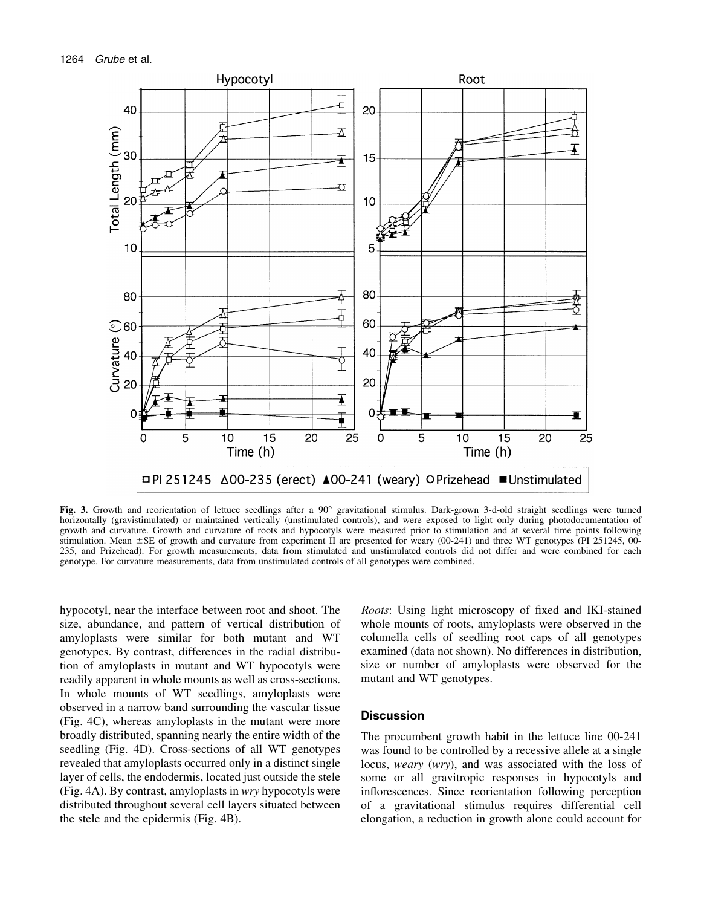

Fig. 3. Growth and reorientation of lettuce seedlings after a 90° gravitational stimulus. Dark-grown 3-d-old straight seedlings were turned horizontally (gravistimulated) or maintained vertically (unstimulated controls), and were exposed to light only during photodocumentation of growth and curvature. Growth and curvature of roots and hypocotyls were measured prior to stimulation and at several time points following stimulation. Mean  $\pm$ SE of growth and curvature from experiment II are presented for weary (00-241) and three WT genotypes (PI 251245, 00-235, and Prizehead). For growth measurements, data from stimulated and unstimulated controls did not differ and were combined for each genotype. For curvature measurements, data from unstimulated controls of all genotypes were combined.

hypocotyl, near the interface between root and shoot. The size, abundance, and pattern of vertical distribution of amyloplasts were similar for both mutant and WT genotypes. By contrast, differences in the radial distribution of amyloplasts in mutant and WT hypocotyls were readily apparent in whole mounts as well as cross-sections. In whole mounts of WT seedlings, amyloplasts were observed in a narrow band surrounding the vascular tissue (Fig. 4C), whereas amyloplasts in the mutant were more broadly distributed, spanning nearly the entire width of the seedling (Fig. 4D). Cross-sections of all WT genotypes revealed that amyloplasts occurred only in a distinct single layer of cells, the endodermis, located just outside the stele (Fig. 4A). By contrast, amyloplasts in wry hypocotyls were distributed throughout several cell layers situated between the stele and the epidermis (Fig. 4B).

Roots: Using light microscopy of fixed and IKI-stained whole mounts of roots, amyloplasts were observed in the columella cells of seedling root caps of all genotypes examined (data not shown). No differences in distribution, size or number of amyloplasts were observed for the mutant and WT genotypes.

## **Discussion**

The procumbent growth habit in the lettuce line 00-241 was found to be controlled by a recessive allele at a single locus, weary (wry), and was associated with the loss of some or all gravitropic responses in hypocotyls and inflorescences. Since reorientation following perception of a gravitational stimulus requires differential cell elongation, a reduction in growth alone could account for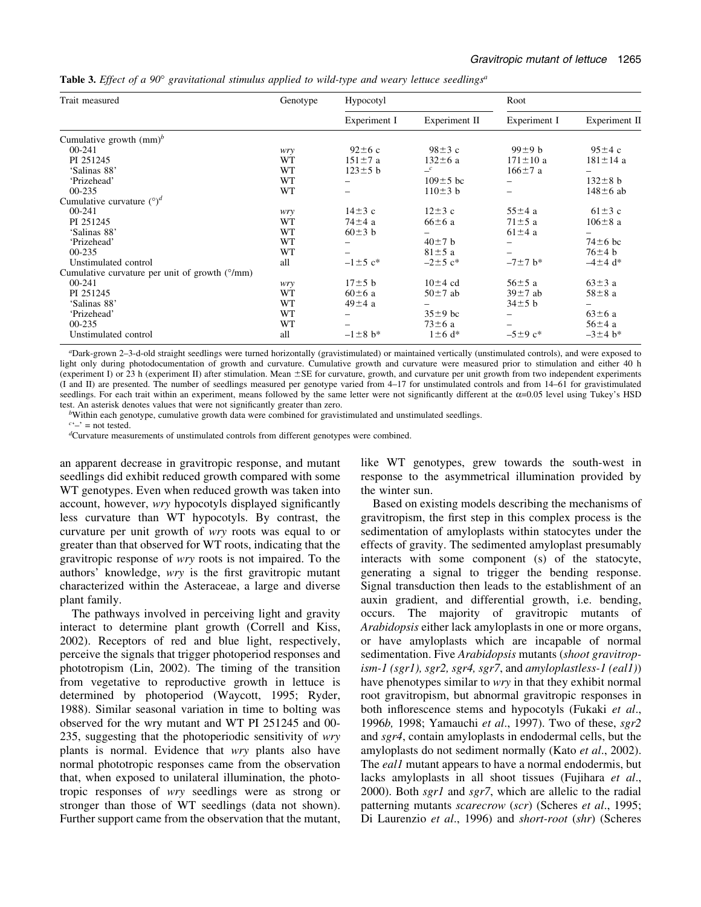**Table 3.** Effect of a 90 $^{\circ}$  gravitational stimulus applied to wild-type and weary lettuce seedlings<sup>a</sup>

| Trait measured                                 | Genotype  | Hypocotyl                 |                           | Root           |                |
|------------------------------------------------|-----------|---------------------------|---------------------------|----------------|----------------|
|                                                |           | Experiment I              | Experiment II             | Experiment I   | Experiment II  |
| Cumulative growth $\text{(mm)}^b$              |           |                           |                           |                |                |
| 00-241                                         | wry       | $92 \pm 6$ c              | $98 \pm 3$ c              | $99\pm9$ b     | $95\pm4c$      |
| PI 251245                                      | WT        | $151 \pm 7$ a             | $132 \pm 6$ a             | $171 \pm 10$ a | $181 \pm 14$ a |
| 'Salinas 88'                                   | WT        | $123 \pm 5$ b             | $\equiv$ <sup>c</sup>     | $166 \pm 7$ a  |                |
| 'Prizehead'                                    | WT        |                           | $109 \pm 5$ bc            |                | $132 \pm 8$ b  |
| $00 - 235$                                     | <b>WT</b> |                           | $110\pm3$ b               |                | $148 \pm 6$ ab |
| Cumulative curvature $(°)^d$                   |           |                           |                           |                |                |
| 00-241                                         | wry       | $14\pm3$ c                | $12\pm3$ c                | $55 \pm 4$ a   | $61\pm3$ c     |
| PI 251245                                      | WT        | $74\pm4$ a                | $66 \pm 6$ a              | $71 \pm 5$ a   | $106 \pm 8$ a  |
| 'Salinas 88'                                   | WT        | $60\pm3$ b                |                           | $61\pm4$ a     |                |
| 'Prizehead'                                    | WT        |                           | $40\pm7$ b                | -              | $74\pm 6$ bc   |
| $00 - 235$                                     | WT        |                           | $81 \pm 5$ a              |                | $76\pm4$ b     |
| Unstimulated control                           | all       | $-1 \pm 5$ c <sup>*</sup> | $-2 \pm 5$ c <sup>*</sup> | $-7 \pm 7$ b*  | $-4 \pm 4$ d*  |
| Cumulative curvature per unit of growth (°/mm) |           |                           |                           |                |                |
| 00-241                                         | wry       | $17\pm5$ b                | $10\pm4$ cd               | $56 \pm 5$ a   | $63\pm3$ a     |
| PI 251245                                      | WT        | $60\pm 6$ a               | $50\pm7$ ab               | $39 \pm 7$ ab  | $58\pm8$ a     |
| 'Salinas 88'                                   | WT        | $49\pm4$ a                |                           | $34\pm5$ b     |                |
| 'Prizehead'                                    | WT        |                           | $35\pm9$ bc               |                | $63\pm6$ a     |
| $00 - 235$                                     | WT        |                           | $73\pm6$ a                |                | $56\pm4$ a     |
| Unstimulated control                           | all       | $-1 \pm 8$ b*             | $1\pm 6$ d <sup>*</sup>   | $-5\pm9$ c*    | $-3 \pm 4$ b*  |

a Dark-grown 2±3-d-old straight seedlings were turned horizontally (gravistimulated) or maintained vertically (unstimulated controls), and were exposed to light only during photodocumentation of growth and curvature. Cumulative growth and curvature were measured prior to stimulation and either 40 h (experiment I) or 23 h (experiment II) after stimulation. Mean  $\pm$  SE for curvature, growth, and curvature per unit growth from two independent experiments (I and II) are presented. The number of seedlings measured per genotype varied from 4±17 for unstimulated controls and from 14±61 for gravistimulated seedlings. For each trait within an experiment, means followed by the same letter were not significantly different at the  $\alpha$ =0.05 level using Tukey's HSD test. An asterisk denotes values that were not significantly greater than zero.

<sup>b</sup>Within each genotype, cumulative growth data were combined for gravistimulated and unstimulated seedlings.

 $c^2$  = not tested.

d Curvature measurements of unstimulated controls from different genotypes were combined.

an apparent decrease in gravitropic response, and mutant seedlings did exhibit reduced growth compared with some WT genotypes. Even when reduced growth was taken into account, however, *wry* hypocotyls displayed significantly less curvature than WT hypocotyls. By contrast, the curvature per unit growth of wry roots was equal to or greater than that observed for WT roots, indicating that the gravitropic response of wry roots is not impaired. To the authors' knowledge, wry is the first gravitropic mutant characterized within the Asteraceae, a large and diverse plant family.

The pathways involved in perceiving light and gravity interact to determine plant growth (Correll and Kiss, 2002). Receptors of red and blue light, respectively, perceive the signals that trigger photoperiod responses and phototropism (Lin, 2002). The timing of the transition from vegetative to reproductive growth in lettuce is determined by photoperiod (Waycott, 1995; Ryder, 1988). Similar seasonal variation in time to bolting was observed for the wry mutant and WT PI 251245 and 00- 235, suggesting that the photoperiodic sensitivity of wry plants is normal. Evidence that wry plants also have normal phototropic responses came from the observation that, when exposed to unilateral illumination, the phototropic responses of wry seedlings were as strong or stronger than those of WT seedlings (data not shown). Further support came from the observation that the mutant,

like WT genotypes, grew towards the south-west in response to the asymmetrical illumination provided by the winter sun.

Based on existing models describing the mechanisms of gravitropism, the first step in this complex process is the sedimentation of amyloplasts within statocytes under the effects of gravity. The sedimented amyloplast presumably interacts with some component (s) of the statocyte, generating a signal to trigger the bending response. Signal transduction then leads to the establishment of an auxin gradient, and differential growth, i.e. bending, occurs. The majority of gravitropic mutants of Arabidopsis either lack amyloplasts in one or more organs, or have amyloplasts which are incapable of normal sedimentation. Five Arabidopsis mutants (shoot gravitropism-1 (sgr1), sgr2, sgr4, sgr7, and amyloplastless-1 (eal1)) have phenotypes similar to wry in that they exhibit normal root gravitropism, but abnormal gravitropic responses in both inflorescence stems and hypocotyls (Fukaki et al., 1996b, 1998; Yamauchi et al., 1997). Two of these, sgr2 and sgr4, contain amyloplasts in endodermal cells, but the amyloplasts do not sediment normally (Kato et al., 2002). The *eal1* mutant appears to have a normal endodermis, but lacks amyloplasts in all shoot tissues (Fujihara et al., 2000). Both sgr1 and sgr7, which are allelic to the radial patterning mutants scarecrow (scr) (Scheres et al., 1995; Di Laurenzio et al., 1996) and short-root (shr) (Scheres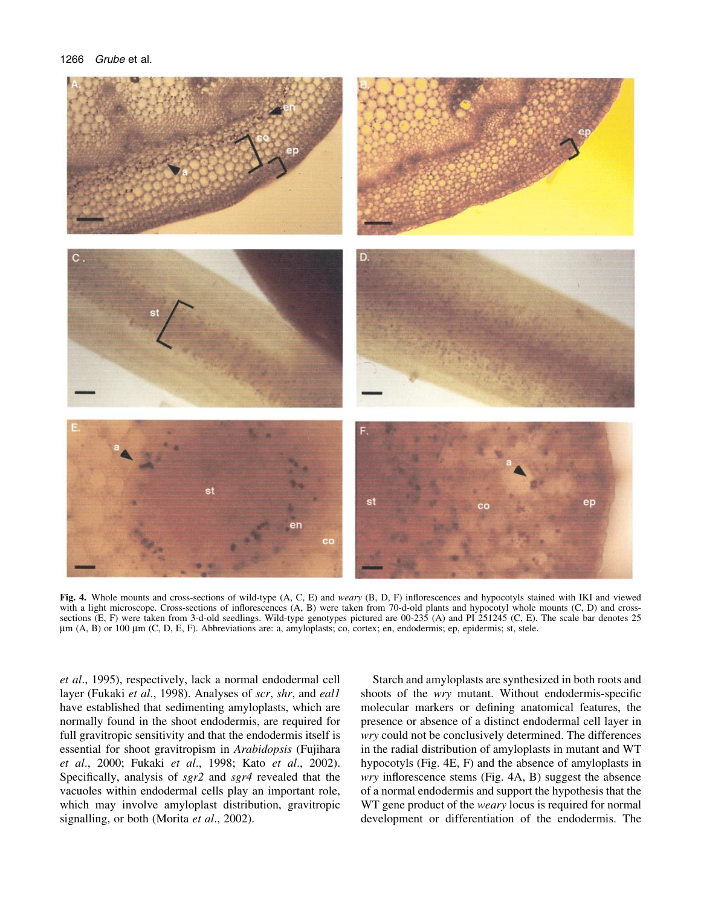

Fig. 4. Whole mounts and cross-sections of wild-type (A, C, E) and weary (B, D, F) inflorescences and hypocotyls stained with IKI and viewed with a light microscope. Cross-sections of inflorescences (A, B) were taken from 70-d-old plants and hypocotyl whole mounts (C, D) and crosssections (E, F) were taken from 3-d-old seedlings. Wild-type genotypes pictured are 00-235 (A) and PI 251245 (C, E). The scale bar denotes 25  $\mu$ m (A, B) or 100  $\mu$ m (C, D, E, F). Abbreviations are: a, amyloplasts; co, cortex; en, endodermis; ep, epidermis; st, stele.

et al., 1995), respectively, lack a normal endodermal cell layer (Fukaki et al., 1998). Analyses of scr, shr, and eal1 have established that sedimenting amyloplasts, which are normally found in the shoot endodermis, are required for full gravitropic sensitivity and that the endodermis itself is essential for shoot gravitropism in Arabidopsis (Fujihara et al., 2000; Fukaki et al., 1998; Kato et al., 2002). Specifically, analysis of sgr2 and sgr4 revealed that the vacuoles within endodermal cells play an important role, which may involve amyloplast distribution, gravitropic signalling, or both (Morita et al., 2002).

Starch and amyloplasts are synthesized in both roots and shoots of the wry mutant. Without endodermis-specific molecular markers or defining anatomical features, the presence or absence of a distinct endodermal cell layer in wry could not be conclusively determined. The differences in the radial distribution of amyloplasts in mutant and WT hypocotyls (Fig. 4E, F) and the absence of amyloplasts in  $wry$  inflorescence stems (Fig. 4A, B) suggest the absence of a normal endodermis and support the hypothesis that the WT gene product of the weary locus is required for normal development or differentiation of the endodermis. The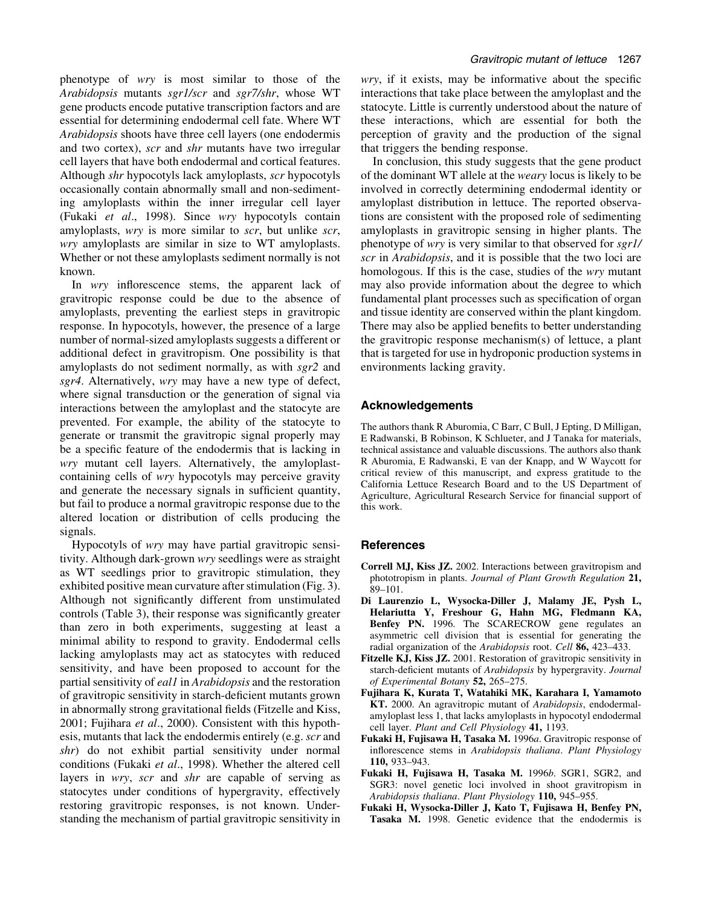phenotype of wry is most similar to those of the Arabidopsis mutants sgr1/scr and sgr7/shr, whose WT gene products encode putative transcription factors and are essential for determining endodermal cell fate. Where WT Arabidopsis shoots have three cell layers (one endodermis and two cortex), scr and shr mutants have two irregular cell layers that have both endodermal and cortical features. Although shr hypocotyls lack amyloplasts, scr hypocotyls occasionally contain abnormally small and non-sedimenting amyloplasts within the inner irregular cell layer (Fukaki et al., 1998). Since wry hypocotyls contain amyloplasts, *wry* is more similar to *scr*, but unlike *scr*, wry amyloplasts are similar in size to WT amyloplasts. Whether or not these amyloplasts sediment normally is not known.

In  $wry$  inflorescence stems, the apparent lack of gravitropic response could be due to the absence of amyloplasts, preventing the earliest steps in gravitropic response. In hypocotyls, however, the presence of a large number of normal-sized amyloplasts suggests a different or additional defect in gravitropism. One possibility is that amyloplasts do not sediment normally, as with sgr2 and sgr4. Alternatively, wry may have a new type of defect, where signal transduction or the generation of signal via interactions between the amyloplast and the statocyte are prevented. For example, the ability of the statocyte to generate or transmit the gravitropic signal properly may be a specific feature of the endodermis that is lacking in wry mutant cell layers. Alternatively, the amyloplastcontaining cells of wry hypocotyls may perceive gravity and generate the necessary signals in sufficient quantity, but fail to produce a normal gravitropic response due to the altered location or distribution of cells producing the signals.

Hypocotyls of wry may have partial gravitropic sensitivity. Although dark-grown wry seedlings were as straight as WT seedlings prior to gravitropic stimulation, they exhibited positive mean curvature after stimulation (Fig. 3). Although not significantly different from unstimulated controls (Table 3), their response was significantly greater than zero in both experiments, suggesting at least a minimal ability to respond to gravity. Endodermal cells lacking amyloplasts may act as statocytes with reduced sensitivity, and have been proposed to account for the partial sensitivity of *eal1* in *Arabidopsis* and the restoration of gravitropic sensitivity in starch-deficient mutants grown in abnormally strong gravitational fields (Fitzelle and Kiss, 2001; Fujihara et al., 2000). Consistent with this hypothesis, mutants that lack the endodermis entirely (e.g. scr and shr) do not exhibit partial sensitivity under normal conditions (Fukaki et al., 1998). Whether the altered cell layers in *wry*, *scr* and *shr* are capable of serving as statocytes under conditions of hypergravity, effectively restoring gravitropic responses, is not known. Understanding the mechanism of partial gravitropic sensitivity in wry, if it exists, may be informative about the specific interactions that take place between the amyloplast and the statocyte. Little is currently understood about the nature of these interactions, which are essential for both the perception of gravity and the production of the signal that triggers the bending response.

In conclusion, this study suggests that the gene product of the dominant WT allele at the weary locus is likely to be involved in correctly determining endodermal identity or amyloplast distribution in lettuce. The reported observations are consistent with the proposed role of sedimenting amyloplasts in gravitropic sensing in higher plants. The phenotype of wry is very similar to that observed for sgr1/ scr in Arabidopsis, and it is possible that the two loci are homologous. If this is the case, studies of the wry mutant may also provide information about the degree to which fundamental plant processes such as specification of organ and tissue identity are conserved within the plant kingdom. There may also be applied benefits to better understanding the gravitropic response mechanism(s) of lettuce, a plant that is targeted for use in hydroponic production systems in environments lacking gravity.

# Acknowledgements

The authors thank R Aburomia, C Barr, C Bull, J Epting, D Milligan, E Radwanski, B Robinson, K Schlueter, and J Tanaka for materials, technical assistance and valuable discussions. The authors also thank R Aburomia, E Radwanski, E van der Knapp, and W Waycott for critical review of this manuscript, and express gratitude to the California Lettuce Research Board and to the US Department of Agriculture, Agricultural Research Service for financial support of this work.

# **References**

- Correll MJ, Kiss JZ. 2002. Interactions between gravitropism and phototropism in plants. Journal of Plant Growth Regulation 21, 89±101.
- Di Laurenzio L, Wysocka-Diller J, Malamy JE, Pysh L, Helariutta Y, Freshour G, Hahn MG, Fledmann KA, Benfey PN. 1996. The SCARECROW gene regulates an asymmetric cell division that is essential for generating the radial organization of the Arabidopsis root. Cell 86, 423–433.
- Fitzelle KJ, Kiss JZ. 2001. Restoration of gravitropic sensitivity in starch-deficient mutants of Arabidopsis by hypergravity. Journal of Experimental Botany 52, 265-275.
- Fujihara K, Kurata T, Watahiki MK, Karahara I, Yamamoto KT. 2000. An agravitropic mutant of Arabidopsis, endodermalamyloplast less 1, that lacks amyloplasts in hypocotyl endodermal cell layer. Plant and Cell Physiology 41, 1193.
- Fukaki H, Fujisawa H, Tasaka M. 1996a. Gravitropic response of inflorescence stems in Arabidopsis thaliana. Plant Physiology 110, 933-943.
- Fukaki H, Fujisawa H, Tasaka M. 1996b. SGR1, SGR2, and SGR3: novel genetic loci involved in shoot gravitropism in Arabidopsis thaliana. Plant Physiology 110, 945-955.
- Fukaki H, Wysocka-Diller J, Kato T, Fujisawa H, Benfey PN, Tasaka M. 1998. Genetic evidence that the endodermis is